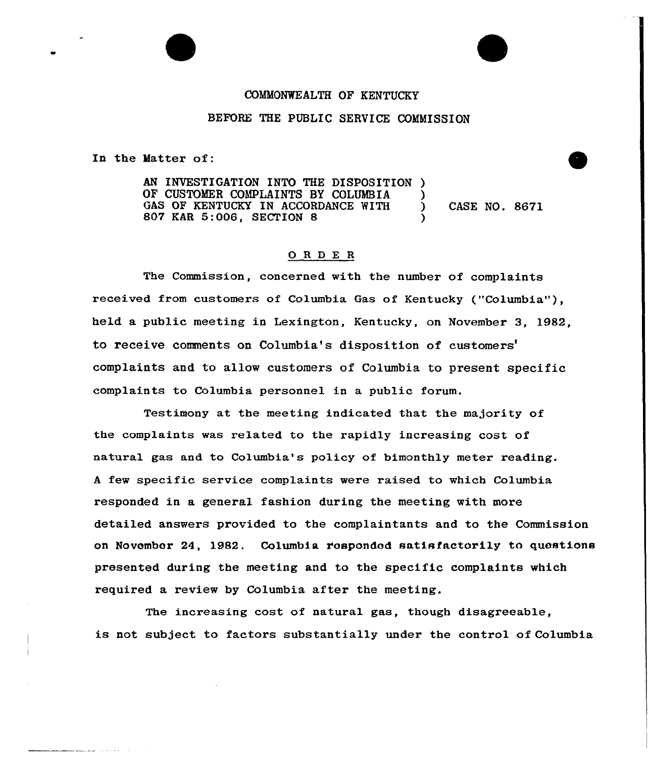## COMMONWEALTH OF KENTUCKY

## BEFORE THE PUBLIC SERVICE COMMISSION

In the Matter of:

AN INVESTIGATION INTO THE DISPOSITION OF CUSTOMER COMPLAINTS BY COLUMBIA ) GAS OF KENTUCKY IN ACCORDANCE WITH ) CASE NO. 8671 807 KAR 5:006, SECTION <sup>8</sup> )

## ORDE <sup>R</sup>

The Commission, concerned with the number of complaints received from customers of Columbia Gas of Kentucky ("Columbia"), held a public meeting in Lexington, Kentucky, on November 3, 1982, to receive comments on Columbia's disposition of complaints and to allow customers of Columbia to present specific complaints to Columbia personnel in a public forum.

Testimony at the meeting indicated that the majority of the complaints was related to the rapidly increasing cost of natural gas and to Columbia's policy of bimonthly metex reading. <sup>A</sup> few specific service complaints were raised to which Columbia responded in a general fashion during the meeting with more detailed answers provided to the complaintants and to the Commission on November 24, 1982. Columbia rospondod satisfactorily to questions presented during the meeting and to the specific complaints which required a review by Columbia after the meeting.

The increasing cost of natural gas, though disagreeable, is not subject to factors substantially under the control of Columbia